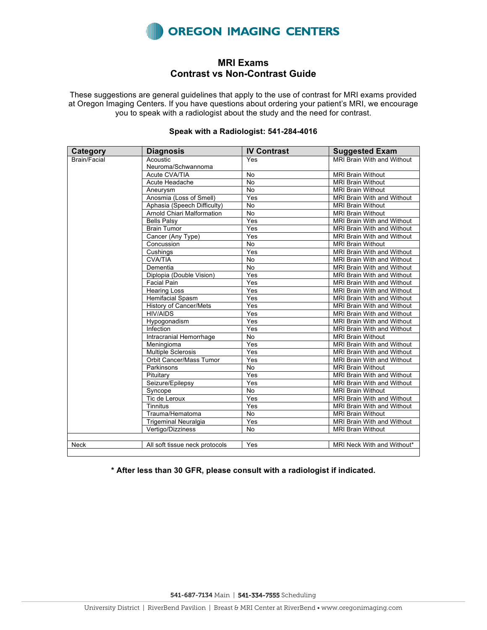

## **MRI Exams Contrast vs Non-Contrast Guide**

These suggestions are general guidelines that apply to the use of contrast for MRI exams provided at Oregon Imaging Centers. If you have questions about ordering your patient's MRI, we encourage you to speak with a radiologist about the study and the need for contrast.

| <b>Category</b> | <b>Diagnosis</b>               | <b>IV Contrast</b> | <b>Suggested Exam</b>             |
|-----------------|--------------------------------|--------------------|-----------------------------------|
| Brain/Facial    | Acoustic                       | Yes                | MRI Brain With and Without        |
|                 | Neuroma/Schwannoma             |                    |                                   |
|                 | Acute CVA/TIA                  | No                 | <b>MRI Brain Without</b>          |
|                 | Acute Headache                 | <b>No</b>          | <b>MRI Brain Without</b>          |
|                 | Aneurysm                       | No                 | <b>MRI Brain Without</b>          |
|                 | Anosmia (Loss of Smell)        | Yes                | MRI Brain With and Without        |
|                 | Aphasia (Speech Difficulty)    | <b>No</b>          | <b>MRI Brain Without</b>          |
|                 | Arnold Chiari Malformation     | <b>No</b>          | <b>MRI Brain Without</b>          |
|                 | <b>Bells Palsy</b>             | Yes                | <b>MRI Brain With and Without</b> |
|                 | <b>Brain Tumor</b>             | Yes                | MRI Brain With and Without        |
|                 | Cancer (Any Type)              | Yes                | MRI Brain With and Without        |
|                 | Concussion                     | <b>No</b>          | <b>MRI Brain Without</b>          |
|                 | Cushings                       | Yes                | MRI Brain With and Without        |
|                 | <b>CVA/TIA</b>                 | <b>No</b>          | MRI Brain With and Without        |
|                 | Dementia                       | <b>No</b>          | MRI Brain With and Without        |
|                 | Diplopia (Double Vision)       | Yes                | MRI Brain With and Without        |
|                 | <b>Facial Pain</b>             | Yes                | MRI Brain With and Without        |
|                 | <b>Hearing Loss</b>            | Yes                | MRI Brain With and Without        |
|                 | Hemifacial Spasm               | Yes                | MRI Brain With and Without        |
|                 | <b>History of Cancer/Mets</b>  | Yes                | MRI Brain With and Without        |
|                 | <b>HIV/AIDS</b>                | Yes                | MRI Brain With and Without        |
|                 | Hypogonadism                   | Yes                | MRI Brain With and Without        |
|                 | Infection                      | Yes                | MRI Brain With and Without        |
|                 | Intracranial Hemorrhage        | <b>No</b>          | <b>MRI Brain Without</b>          |
|                 | Meningioma                     | Yes                | MRI Brain With and Without        |
|                 | <b>Multiple Sclerosis</b>      | Yes                | MRI Brain With and Without        |
|                 | Orbit Cancer/Mass Tumor        | Yes                | MRI Brain With and Without        |
|                 | Parkinsons                     | No                 | <b>MRI Brain Without</b>          |
|                 | Pituitary                      | Yes                | MRI Brain With and Without        |
|                 | Seizure/Epilepsy               | Yes                | MRI Brain With and Without        |
|                 | Syncope                        | <b>No</b>          | <b>MRI Brain Without</b>          |
|                 | Tic de Leroux                  | Yes                | MRI Brain With and Without        |
|                 | <b>Tinnitus</b>                | Yes                | MRI Brain With and Without        |
|                 | Trauma/Hematoma                | <b>No</b>          | <b>MRI Brain Without</b>          |
|                 | <b>Trigeminal Neuralgia</b>    | Yes                | MRI Brain With and Without        |
|                 | Vertigo/Dizziness              | No                 | <b>MRI Brain Without</b>          |
|                 |                                |                    |                                   |
| Neck            | All soft tissue neck protocols | Yes                | MRI Neck With and Without*        |

## **Speak with a Radiologist: 541-284-4016**

**\* After less than 30 GFR, please consult with a radiologist if indicated.**

541-687-7134 Main | 541-334-7555 Scheduling